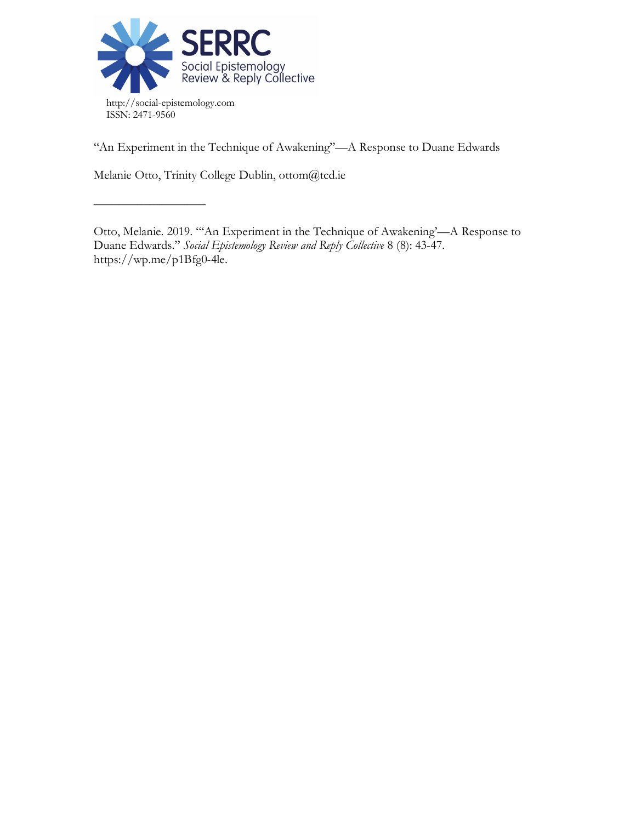

"An Experiment in the Technique of Awakening"—A Response to Duane Edwards

Melanie Otto, Trinity College Dublin, ottom@tcd.ie

––––––––––––––––––

Otto, Melanie. 2019. "'An Experiment in the Technique of Awakening'—A Response to Duane Edwards." *Social Epistemology Review and Reply Collective* 8 (8): 43-47. https://wp.me/p1Bfg0-4le.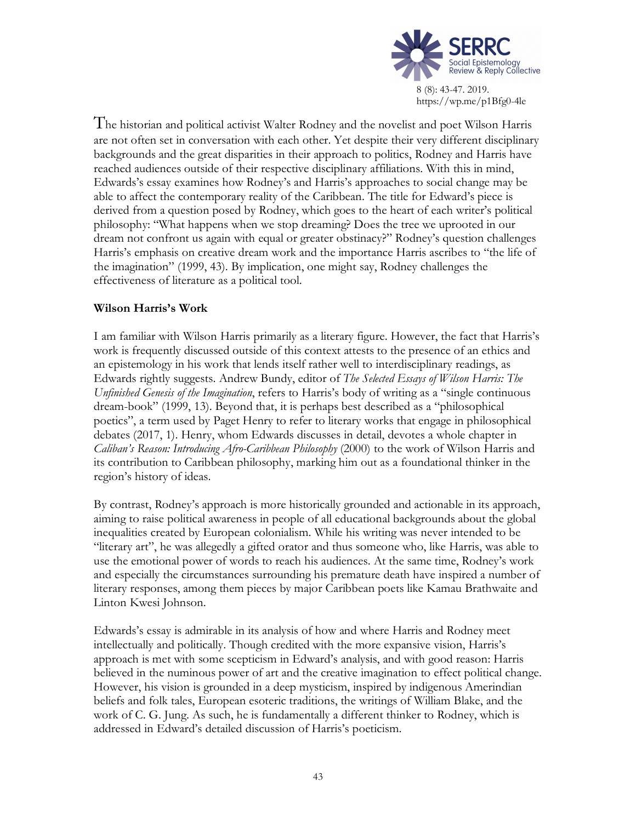

The historian and political activist Walter Rodney and the novelist and poet Wilson Harris are not often set in conversation with each other. Yet despite their very different disciplinary backgrounds and the great disparities in their approach to politics, Rodney and Harris have reached audiences outside of their respective disciplinary affiliations. With this in mind, Edwards's essay examines how Rodney's and Harris's approaches to social change may be able to affect the contemporary reality of the Caribbean. The title for Edward's piece is derived from a question posed by Rodney, which goes to the heart of each writer's political philosophy: "What happens when we stop dreaming? Does the tree we uprooted in our dream not confront us again with equal or greater obstinacy?" Rodney's question challenges Harris's emphasis on creative dream work and the importance Harris ascribes to "the life of the imagination" (1999, 43). By implication, one might say, Rodney challenges the effectiveness of literature as a political tool.

# **Wilson Harris's Work**

I am familiar with Wilson Harris primarily as a literary figure. However, the fact that Harris's work is frequently discussed outside of this context attests to the presence of an ethics and an epistemology in his work that lends itself rather well to interdisciplinary readings, as Edwards rightly suggests. Andrew Bundy, editor of *The Selected Essays of Wilson Harris: The Unfinished Genesis of the Imagination*, refers to Harris's body of writing as a "single continuous dream-book" (1999, 13). Beyond that, it is perhaps best described as a "philosophical poetics", a term used by Paget Henry to refer to literary works that engage in philosophical debates (2017, 1). Henry, whom Edwards discusses in detail, devotes a whole chapter in *Caliban's Reason: Introducing Afro-Caribbean Philosophy* (2000) to the work of Wilson Harris and its contribution to Caribbean philosophy, marking him out as a foundational thinker in the region's history of ideas.

By contrast, Rodney's approach is more historically grounded and actionable in its approach, aiming to raise political awareness in people of all educational backgrounds about the global inequalities created by European colonialism. While his writing was never intended to be "literary art", he was allegedly a gifted orator and thus someone who, like Harris, was able to use the emotional power of words to reach his audiences. At the same time, Rodney's work and especially the circumstances surrounding his premature death have inspired a number of literary responses, among them pieces by major Caribbean poets like Kamau Brathwaite and Linton Kwesi Johnson.

Edwards's essay is admirable in its analysis of how and where Harris and Rodney meet intellectually and politically. Though credited with the more expansive vision, Harris's approach is met with some scepticism in Edward's analysis, and with good reason: Harris believed in the numinous power of art and the creative imagination to effect political change. However, his vision is grounded in a deep mysticism, inspired by indigenous Amerindian beliefs and folk tales, European esoteric traditions, the writings of William Blake, and the work of C. G. Jung. As such, he is fundamentally a different thinker to Rodney, which is addressed in Edward's detailed discussion of Harris's poeticism.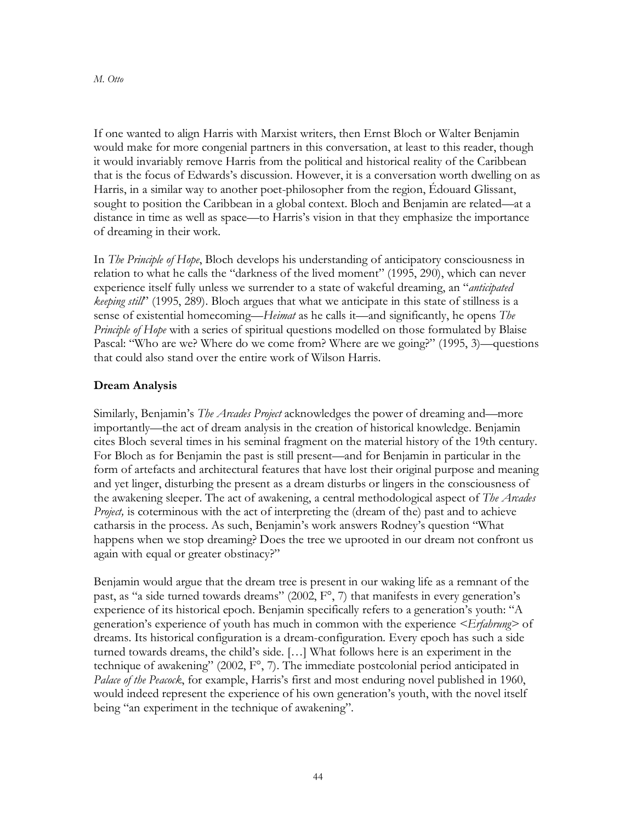If one wanted to align Harris with Marxist writers, then Ernst Bloch or Walter Benjamin would make for more congenial partners in this conversation, at least to this reader, though it would invariably remove Harris from the political and historical reality of the Caribbean that is the focus of Edwards's discussion. However, it is a conversation worth dwelling on as Harris, in a similar way to another poet-philosopher from the region, Édouard Glissant, sought to position the Caribbean in a global context. Bloch and Benjamin are related—at a distance in time as well as space—to Harris's vision in that they emphasize the importance of dreaming in their work.

In *The Principle of Hope*, Bloch develops his understanding of anticipatory consciousness in relation to what he calls the "darkness of the lived moment" (1995, 290), which can never experience itself fully unless we surrender to a state of wakeful dreaming, an "*anticipated keeping still*" (1995, 289). Bloch argues that what we anticipate in this state of stillness is a sense of existential homecoming—*Heimat* as he calls it—and significantly, he opens *The Principle of Hope* with a series of spiritual questions modelled on those formulated by Blaise Pascal: "Who are we? Where do we come from? Where are we going?" (1995, 3)—questions that could also stand over the entire work of Wilson Harris.

## **Dream Analysis**

Similarly, Benjamin's *The Arcades Project* acknowledges the power of dreaming and—more importantly—the act of dream analysis in the creation of historical knowledge. Benjamin cites Bloch several times in his seminal fragment on the material history of the 19th century. For Bloch as for Benjamin the past is still present—and for Benjamin in particular in the form of artefacts and architectural features that have lost their original purpose and meaning and yet linger, disturbing the present as a dream disturbs or lingers in the consciousness of the awakening sleeper. The act of awakening, a central methodological aspect of *The Arcades Project*, is coterminous with the act of interpreting the (dream of the) past and to achieve catharsis in the process. As such, Benjamin's work answers Rodney's question "What happens when we stop dreaming? Does the tree we uprooted in our dream not confront us again with equal or greater obstinacy?"

Benjamin would argue that the dream tree is present in our waking life as a remnant of the past, as "a side turned towards dreams" (2002,  $F^{\circ}$ , 7) that manifests in every generation's experience of its historical epoch. Benjamin specifically refers to a generation's youth: "A generation's experience of youth has much in common with the experience *<Erfahrung>* of dreams. Its historical configuration is a dream-configuration. Every epoch has such a side turned towards dreams, the child's side. […] What follows here is an experiment in the technique of awakening" (2002, F°, 7). The immediate postcolonial period anticipated in *Palace of the Peacock*, for example, Harris's first and most enduring novel published in 1960, would indeed represent the experience of his own generation's youth, with the novel itself being "an experiment in the technique of awakening".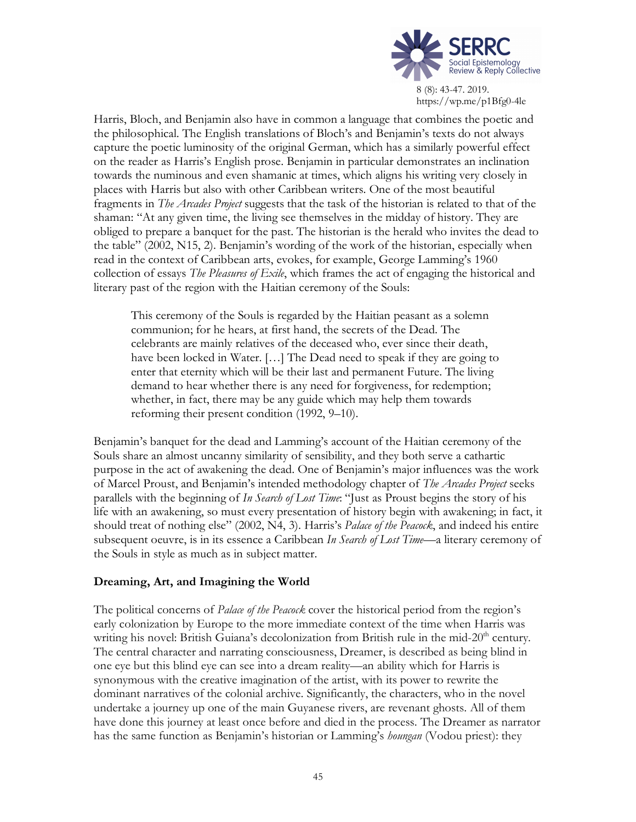

Harris, Bloch, and Benjamin also have in common a language that combines the poetic and the philosophical. The English translations of Bloch's and Benjamin's texts do not always capture the poetic luminosity of the original German, which has a similarly powerful effect on the reader as Harris's English prose. Benjamin in particular demonstrates an inclination towards the numinous and even shamanic at times, which aligns his writing very closely in places with Harris but also with other Caribbean writers. One of the most beautiful fragments in *The Arcades Project* suggests that the task of the historian is related to that of the shaman: "At any given time, the living see themselves in the midday of history. They are obliged to prepare a banquet for the past. The historian is the herald who invites the dead to the table" (2002, N15, 2). Benjamin's wording of the work of the historian, especially when read in the context of Caribbean arts, evokes, for example, George Lamming's 1960 collection of essays *The Pleasures of Exile*, which frames the act of engaging the historical and literary past of the region with the Haitian ceremony of the Souls:

This ceremony of the Souls is regarded by the Haitian peasant as a solemn communion; for he hears, at first hand, the secrets of the Dead. The celebrants are mainly relatives of the deceased who, ever since their death, have been locked in Water. [...] The Dead need to speak if they are going to enter that eternity which will be their last and permanent Future. The living demand to hear whether there is any need for forgiveness, for redemption; whether, in fact, there may be any guide which may help them towards reforming their present condition (1992, 9–10).

Benjamin's banquet for the dead and Lamming's account of the Haitian ceremony of the Souls share an almost uncanny similarity of sensibility, and they both serve a cathartic purpose in the act of awakening the dead. One of Benjamin's major influences was the work of Marcel Proust, and Benjamin's intended methodology chapter of *The Arcades Project* seeks parallels with the beginning of *In Search of Lost Time*: "Just as Proust begins the story of his life with an awakening, so must every presentation of history begin with awakening; in fact, it should treat of nothing else" (2002, N4, 3). Harris's *Palace of the Peacock*, and indeed his entire subsequent oeuvre, is in its essence a Caribbean *In Search of Lost Time*—a literary ceremony of the Souls in style as much as in subject matter.

# **Dreaming, Art, and Imagining the World**

The political concerns of *Palace of the Peacock* cover the historical period from the region's early colonization by Europe to the more immediate context of the time when Harris was writing his novel: British Guiana's decolonization from British rule in the mid- $20<sup>th</sup>$  century. The central character and narrating consciousness, Dreamer, is described as being blind in one eye but this blind eye can see into a dream reality—an ability which for Harris is synonymous with the creative imagination of the artist, with its power to rewrite the dominant narratives of the colonial archive. Significantly, the characters, who in the novel undertake a journey up one of the main Guyanese rivers, are revenant ghosts. All of them have done this journey at least once before and died in the process. The Dreamer as narrator has the same function as Benjamin's historian or Lamming's *houngan* (Vodou priest): they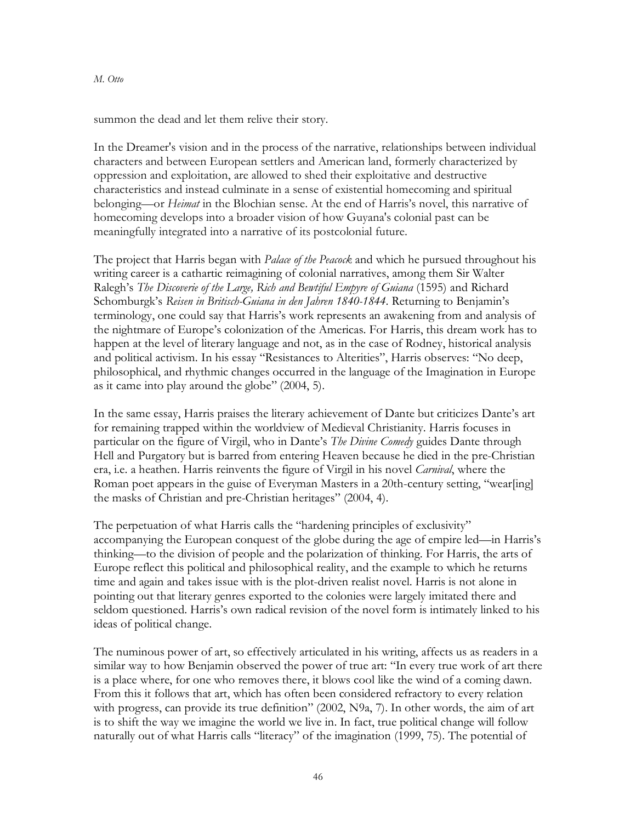#### *M. Otto*

summon the dead and let them relive their story.

In the Dreamer's vision and in the process of the narrative, relationships between individual characters and between European settlers and American land, formerly characterized by oppression and exploitation, are allowed to shed their exploitative and destructive characteristics and instead culminate in a sense of existential homecoming and spiritual belonging—or *Heimat* in the Blochian sense. At the end of Harris's novel, this narrative of homecoming develops into a broader vision of how Guyana's colonial past can be meaningfully integrated into a narrative of its postcolonial future.

The project that Harris began with *Palace of the Peacock* and which he pursued throughout his writing career is a cathartic reimagining of colonial narratives, among them Sir Walter Ralegh's *The Discoverie of the Large, Rich and Bewtiful Empyre of Guiana* (1595) and Richard Schomburgk's *Reisen in Britisch-Guiana in den Jahren 1840-1844*. Returning to Benjamin's terminology, one could say that Harris's work represents an awakening from and analysis of the nightmare of Europe's colonization of the Americas. For Harris, this dream work has to happen at the level of literary language and not, as in the case of Rodney, historical analysis and political activism. In his essay "Resistances to Alterities", Harris observes: "No deep, philosophical, and rhythmic changes occurred in the language of the Imagination in Europe as it came into play around the globe" (2004, 5).

In the same essay, Harris praises the literary achievement of Dante but criticizes Dante's art for remaining trapped within the worldview of Medieval Christianity. Harris focuses in particular on the figure of Virgil, who in Dante's *The Divine Comedy* guides Dante through Hell and Purgatory but is barred from entering Heaven because he died in the pre-Christian era, i.e. a heathen. Harris reinvents the figure of Virgil in his novel *Carnival*, where the Roman poet appears in the guise of Everyman Masters in a 20th-century setting, "wear[ing] the masks of Christian and pre-Christian heritages" (2004, 4).

The perpetuation of what Harris calls the "hardening principles of exclusivity" accompanying the European conquest of the globe during the age of empire led—in Harris's thinking—to the division of people and the polarization of thinking. For Harris, the arts of Europe reflect this political and philosophical reality, and the example to which he returns time and again and takes issue with is the plot-driven realist novel. Harris is not alone in pointing out that literary genres exported to the colonies were largely imitated there and seldom questioned. Harris's own radical revision of the novel form is intimately linked to his ideas of political change.

The numinous power of art, so effectively articulated in his writing, affects us as readers in a similar way to how Benjamin observed the power of true art: "In every true work of art there is a place where, for one who removes there, it blows cool like the wind of a coming dawn. From this it follows that art, which has often been considered refractory to every relation with progress, can provide its true definition" (2002, N9a, 7). In other words, the aim of art is to shift the way we imagine the world we live in. In fact, true political change will follow naturally out of what Harris calls "literacy" of the imagination (1999, 75). The potential of